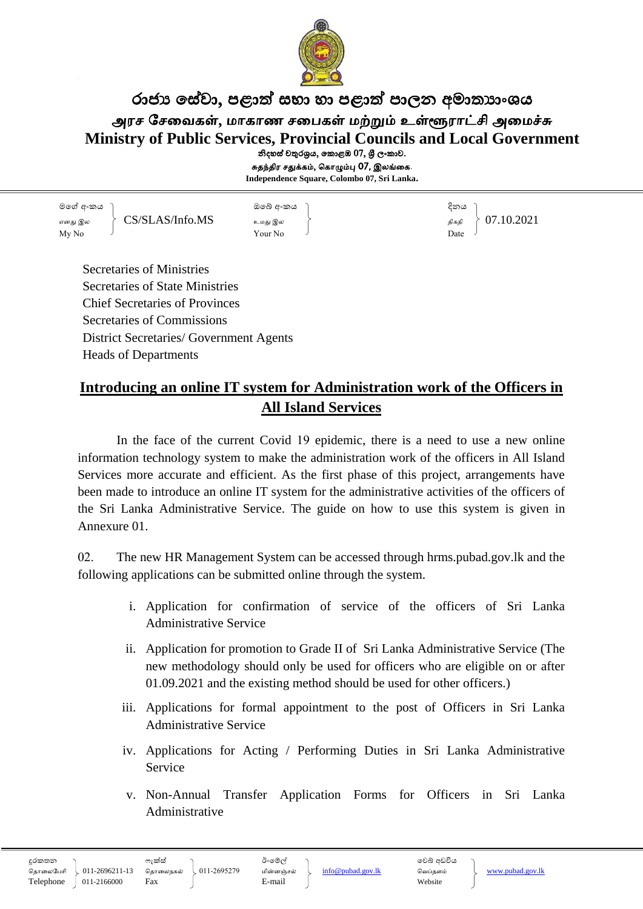

රාජා සේවා, පළාත් සභා හා පළාත් පාලන අමාතාාංශය அரச சேவைகள், மாகாண சபைகள் மற்றும் உள்ளூராட்சி அமைச்சு **Ministry of Public Services, Provincial Councils and Local Government** නිදහස් චතුරශුය, කොළඹ  $07$ , ශී ලංකාව.

சுதந்திர சதுக்கம், கொழும்பு 07, இலங்கை.

**Independence Square, Colombo 07, Sri Lanka.**

මගේ අංකය ඔගේ අංකය දිනය எனது இல  $\Big\{\begin{array}{ccc} \text{CS/SLAS/Info. MS} & & & \text{SUS} & \text{CS/SLAS/Info. MS} \ \text{SUS} & & & \text{SUS} \ \text{SUS} & & & \text{SUS} \ \end{array} \Big\} \begin{array}{c} 07.10.2021 \ \text{SUS} & & & \text{SUS} \ \end{array}$  $\begin{array}{ccc} \text{My No} & \text{[J]} \\ \text{Your No} & \text{[J]} \end{array}$ 

Secretaries of Ministries Secretaries of State Ministries Chief Secretaries of Provinces Secretaries of Commissions District Secretaries/ Government Agents Heads of Departments

# **Introducing an online IT system for Administration work of the Officers in All Island Services**

In the face of the current Covid 19 epidemic, there is a need to use a new online information technology system to make the administration work of the officers in All Island Services more accurate and efficient. As the first phase of this project, arrangements have been made to introduce an online IT system for the administrative activities of the officers of the Sri Lanka Administrative Service. The guide on how to use this system is given in Annexure 01.

02. The new HR Management System can be accessed through hrms.pubad.gov.lk and the following applications can be submitted online through the system.

- i. Application for confirmation of service of the officers of Sri Lanka Administrative Service
- ii. Application for promotion to Grade II of Sri Lanka Administrative Service (The new methodology should only be used for officers who are eligible on or after 01.09.2021 and the existing method should be used for other officers.)
- iii. Applications for formal appointment to the post of Officers in Sri Lanka Administrative Service
- iv. Applications for Acting / Performing Duties in Sri Lanka Administrative Service
- v. Non-Annual Transfer Application Forms for Officers in Sri Lanka Administrative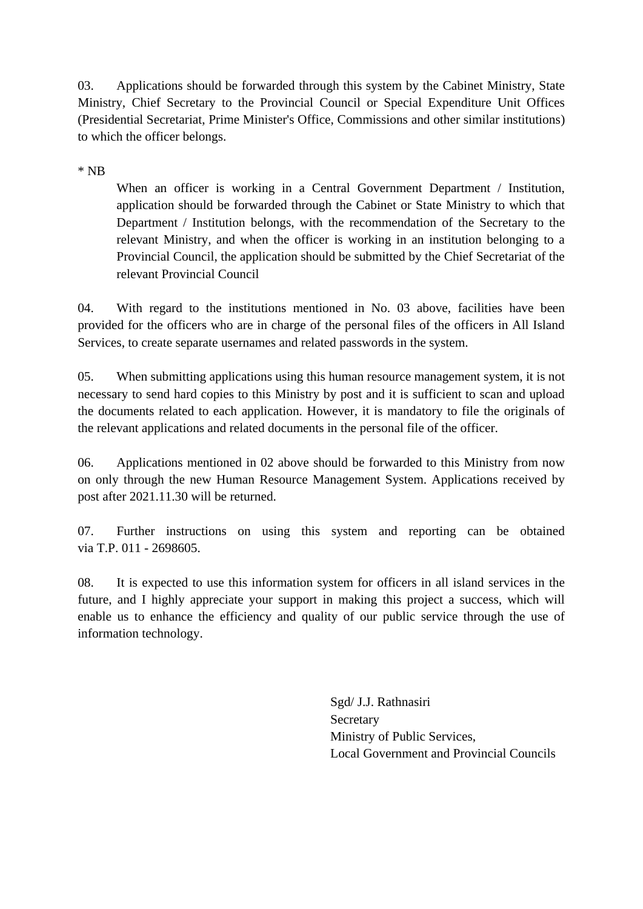03. Applications should be forwarded through this system by the Cabinet Ministry, State Ministry, Chief Secretary to the Provincial Council or Special Expenditure Unit Offices (Presidential Secretariat, Prime Minister's Office, Commissions and other similar institutions) to which the officer belongs.

\* NB

When an officer is working in a Central Government Department / Institution, application should be forwarded through the Cabinet or State Ministry to which that Department / Institution belongs, with the recommendation of the Secretary to the relevant Ministry, and when the officer is working in an institution belonging to a Provincial Council, the application should be submitted by the Chief Secretariat of the relevant Provincial Council

04. With regard to the institutions mentioned in No. 03 above, facilities have been provided for the officers who are in charge of the personal files of the officers in All Island Services, to create separate usernames and related passwords in the system.

05. When submitting applications using this human resource management system, it is not necessary to send hard copies to this Ministry by post and it is sufficient to scan and upload the documents related to each application. However, it is mandatory to file the originals of the relevant applications and related documents in the personal file of the officer.

06. Applications mentioned in 02 above should be forwarded to this Ministry from now on only through the new Human Resource Management System. Applications received by post after 2021.11.30 will be returned.

07. Further instructions on using this system and reporting can be obtained via T.P. 011 - 2698605.

08. It is expected to use this information system for officers in all island services in the future, and I highly appreciate your support in making this project a success, which will enable us to enhance the efficiency and quality of our public service through the use of information technology.

> Sgd/ J.J. Rathnasiri Secretary Ministry of Public Services, Local Government and Provincial Councils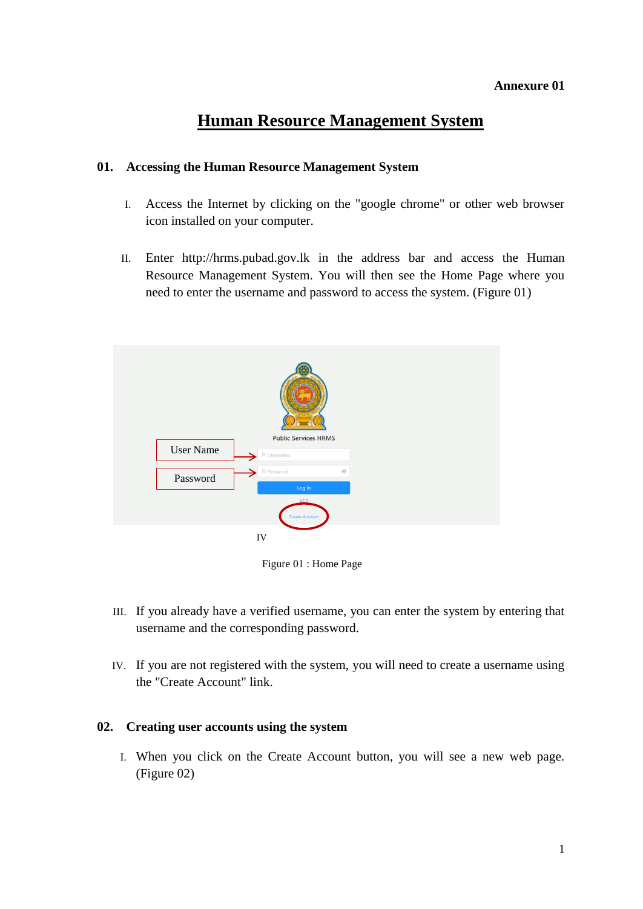## **Annexure 01**

# **Human Resource Management System**

# **01. Accessing the Human Resource Management System**

- I. Access the Internet by clicking on the "google chrome" or other web browser icon installed on your computer.
- II. Enter http://hrms.pubad.gov.lk in the address bar and access the Human Resource Management System. You will then see the Home Page where you need to enter the username and password to access the system. (Figure 01)



Figure 01 : Home Page

- III. If you already have a verified username, you can enter the system by entering that username and the corresponding password.
- IV. If you are not registered with the system, you will need to create a username using the "Create Account" link.

## **02. Creating user accounts using the system**

I. When you click on the Create Account button, you will see a new web page. (Figure 02)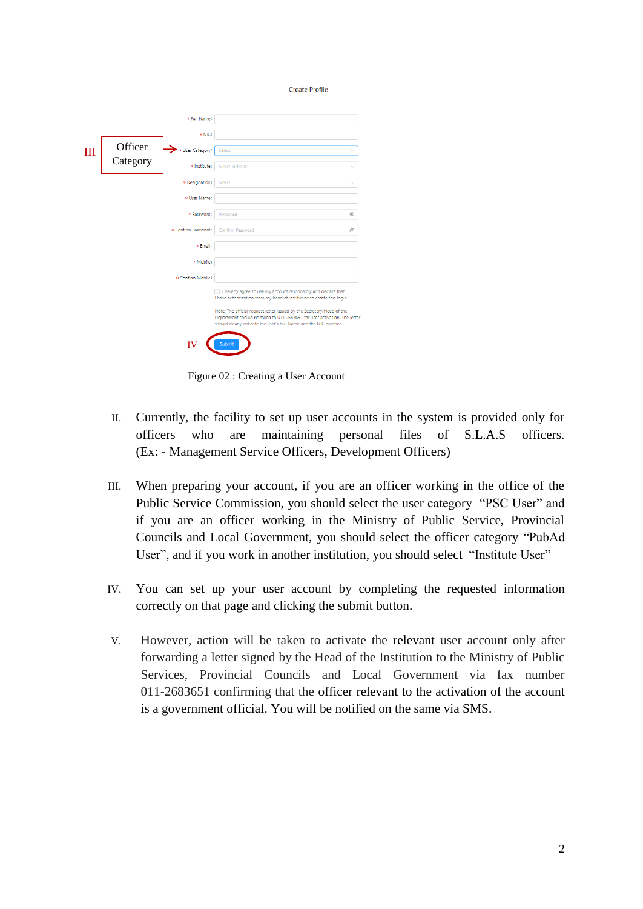|   |          | * Full Name:                                                                                                                                                                                                           |                                                                                                                                         |        |
|---|----------|------------------------------------------------------------------------------------------------------------------------------------------------------------------------------------------------------------------------|-----------------------------------------------------------------------------------------------------------------------------------------|--------|
|   |          | * NIC:                                                                                                                                                                                                                 |                                                                                                                                         |        |
| Ш | Officer  | * User Category:                                                                                                                                                                                                       | Select                                                                                                                                  | $\sim$ |
|   | Category | * Institute:                                                                                                                                                                                                           | Select institute                                                                                                                        |        |
|   |          | * Designation:                                                                                                                                                                                                         | Select                                                                                                                                  |        |
|   |          | * User Name:                                                                                                                                                                                                           |                                                                                                                                         |        |
|   |          | * Password:                                                                                                                                                                                                            | Password                                                                                                                                | Ø,     |
|   |          | * Confirm Password:                                                                                                                                                                                                    | Confirm Password                                                                                                                        | ø      |
|   |          | * Email:                                                                                                                                                                                                               |                                                                                                                                         |        |
|   |          | * Mobile:                                                                                                                                                                                                              |                                                                                                                                         |        |
|   |          | * Confirm Mobile:                                                                                                                                                                                                      |                                                                                                                                         |        |
|   |          |                                                                                                                                                                                                                        | I hereby agree to use my account responsibly and declare that<br>I have authorization from my head of institution to create this login. |        |
|   |          | Note: The official request letter issued by the Secretary/Head of the<br>Department should be faxed to 011 2683651 for user activation. The letter<br>should clearly indicate the user's Full Name and the NIC number. |                                                                                                                                         |        |
|   |          |                                                                                                                                                                                                                        | Submit                                                                                                                                  |        |

Figure 02 : Creating a User Account

II. Currently, the facility to set up user accounts in the system is provided only for officers who are maintaining personal files of S.L.A.S officers. (Ex: - Management Service Officers, Development Officers)

**Create Profile** 

- III. When preparing your account, if you are an officer working in the office of the Public Service Commission, you should select the user category "PSC User" and if you are an officer working in the Ministry of Public Service, Provincial Councils and Local Government, you should select the officer category "PubAd User", and if you work in another institution, you should select "Institute User"
- IV. You can set up your user account by completing the requested information correctly on that page and clicking the submit button.
- V. However, action will be taken to activate the relevant user account only after forwarding a letter signed by the Head of the Institution to the Ministry of Public Services, Provincial Councils and Local Government via fax number 011-2683651 confirming that the officer relevant to the activation of the account is a government official. You will be notified on the same via SMS.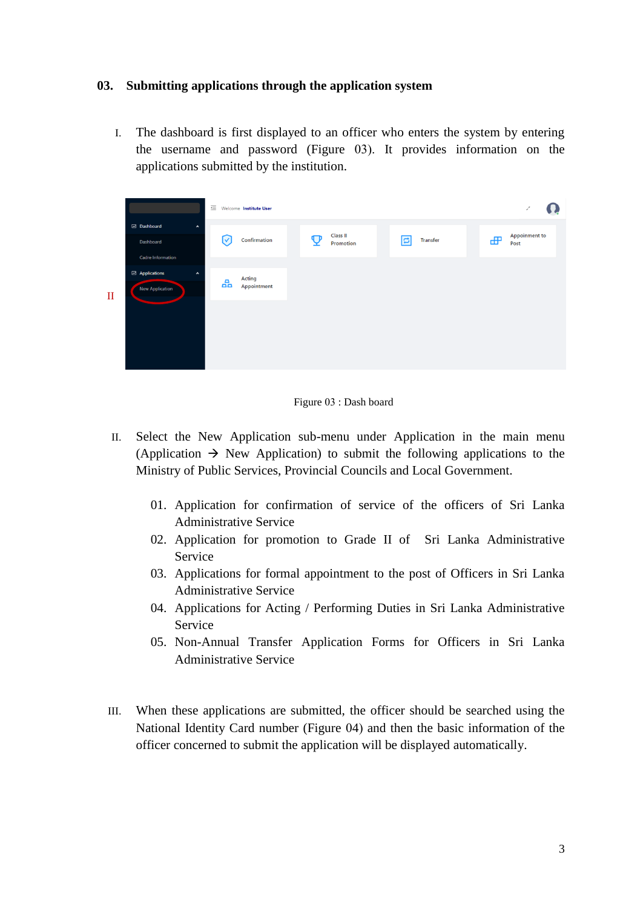### **03. Submitting applications through the application system**

I. The dashboard is first displayed to an officer who enters the system by entering the username and password (Figure 03). It provides information on the applications submitted by the institution.



Figure 03 : Dash board

- II. Select the New Application sub-menu under Application in the main menu (Application  $\rightarrow$  New Application) to submit the following applications to the Ministry of Public Services, Provincial Councils and Local Government.
	- 01. Application for confirmation of service of the officers of Sri Lanka Administrative Service
	- 02. Application for promotion to Grade II of Sri Lanka Administrative Service
	- 03. Applications for formal appointment to the post of Officers in Sri Lanka Administrative Service
	- 04. Applications for Acting / Performing Duties in Sri Lanka Administrative Service
	- 05. Non-Annual Transfer Application Forms for Officers in Sri Lanka Administrative Service
- III. When these applications are submitted, the officer should be searched using the National Identity Card number (Figure 04) and then the basic information of the officer concerned to submit the application will be displayed automatically.